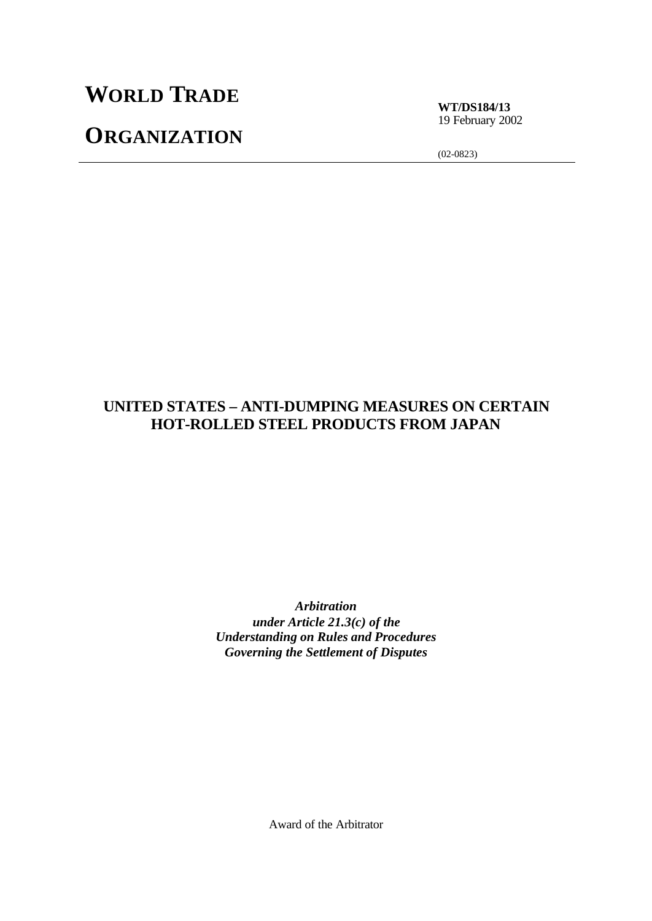# **WORLD TRADE**

## **ORGANIZATION**

**WT/DS184/13** 19 February 2002

(02-0823)

### **UNITED STATES – ANTI-DUMPING MEASURES ON CERTAIN HOT-ROLLED STEEL PRODUCTS FROM JAPAN**

*Arbitration under Article 21.3(c) of the Understanding on Rules and Procedures Governing the Settlement of Disputes*

Award of the Arbitrator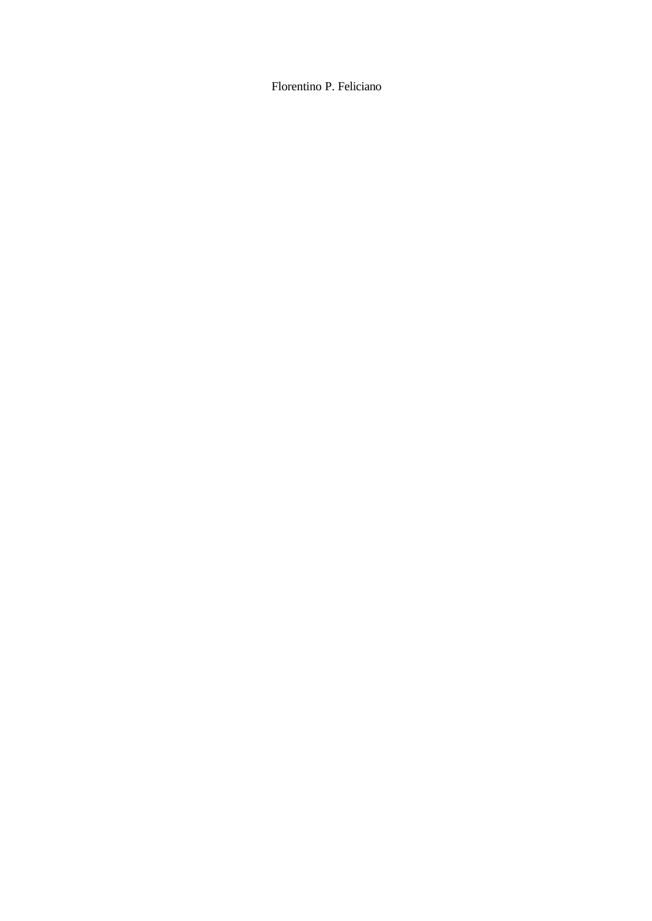Florentino P. Feliciano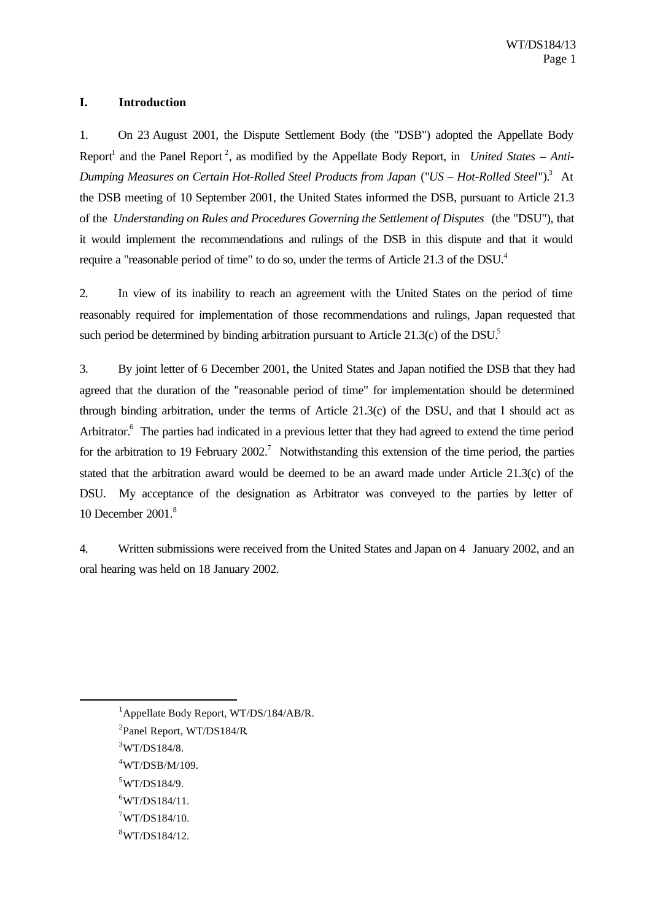### **I. Introduction**

1. On 23 August 2001, the Dispute Settlement Body (the "DSB") adopted the Appellate Body Report<sup>1</sup> and the Panel Report<sup>2</sup>, as modified by the Appellate Body Report, in *United States – Anti-*Dumping Measures on Certain Hot-Rolled Steel Products from Japan ("US – Hot-Rolled Steel").<sup>3</sup> At the DSB meeting of 10 September 2001, the United States informed the DSB, pursuant to Article 21.3 of the *Understanding on Rules and Procedures Governing the Settlement of Disputes* (the "DSU"), that it would implement the recommendations and rulings of the DSB in this dispute and that it would require a "reasonable period of time" to do so, under the terms of Article 21.3 of the DSU.<sup>4</sup>

2. In view of its inability to reach an agreement with the United States on the period of time reasonably required for implementation of those recommendations and rulings, Japan requested that such period be determined by binding arbitration pursuant to Article 21.3(c) of the DSU.<sup>5</sup>

3. By joint letter of 6 December 2001, the United States and Japan notified the DSB that they had agreed that the duration of the "reasonable period of time" for implementation should be determined through binding arbitration, under the terms of Article 21.3(c) of the DSU, and that I should act as Arbitrator.<sup>6</sup> The parties had indicated in a previous letter that they had agreed to extend the time period for the arbitration to 19 February 2002.<sup>7</sup> Notwithstanding this extension of the time period, the parties stated that the arbitration award would be deemed to be an award made under Article 21.3(c) of the DSU. My acceptance of the designation as Arbitrator was conveyed to the parties by letter of 10 December 2001. 8

4. Written submissions were received from the United States and Japan on 4 January 2002, and an oral hearing was held on 18 January 2002.

<sup>1</sup>Appellate Body Report, WT/DS/184/AB/R. <sup>2</sup>Panel Report, WT/DS184/R. WT/DS184/8. WT/DSB/M/109. WT/DS184/9. WT/DS184/11. WT/DS184/10. WT/DS184/12.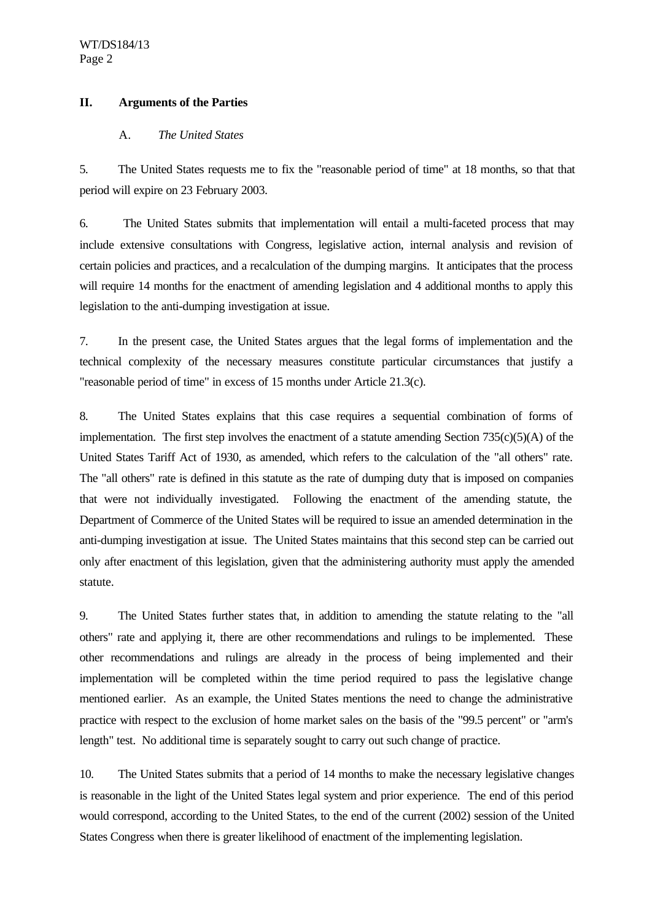### **II. Arguments of the Parties**

#### A. *The United States*

5. The United States requests me to fix the "reasonable period of time" at 18 months, so that that period will expire on 23 February 2003.

6. The United States submits that implementation will entail a multi-faceted process that may include extensive consultations with Congress, legislative action, internal analysis and revision of certain policies and practices, and a recalculation of the dumping margins. It anticipates that the process will require 14 months for the enactment of amending legislation and 4 additional months to apply this legislation to the anti-dumping investigation at issue.

7. In the present case, the United States argues that the legal forms of implementation and the technical complexity of the necessary measures constitute particular circumstances that justify a "reasonable period of time" in excess of 15 months under Article 21.3(c).

8. The United States explains that this case requires a sequential combination of forms of implementation. The first step involves the enactment of a statute amending Section 735(c)(5)(A) of the United States Tariff Act of 1930, as amended, which refers to the calculation of the "all others" rate. The "all others" rate is defined in this statute as the rate of dumping duty that is imposed on companies that were not individually investigated. Following the enactment of the amending statute, the Department of Commerce of the United States will be required to issue an amended determination in the anti-dumping investigation at issue. The United States maintains that this second step can be carried out only after enactment of this legislation, given that the administering authority must apply the amended statute.

9. The United States further states that, in addition to amending the statute relating to the "all others" rate and applying it, there are other recommendations and rulings to be implemented. These other recommendations and rulings are already in the process of being implemented and their implementation will be completed within the time period required to pass the legislative change mentioned earlier. As an example, the United States mentions the need to change the administrative practice with respect to the exclusion of home market sales on the basis of the "99.5 percent" or "arm's length" test. No additional time is separately sought to carry out such change of practice.

10. The United States submits that a period of 14 months to make the necessary legislative changes is reasonable in the light of the United States legal system and prior experience. The end of this period would correspond, according to the United States, to the end of the current (2002) session of the United States Congress when there is greater likelihood of enactment of the implementing legislation.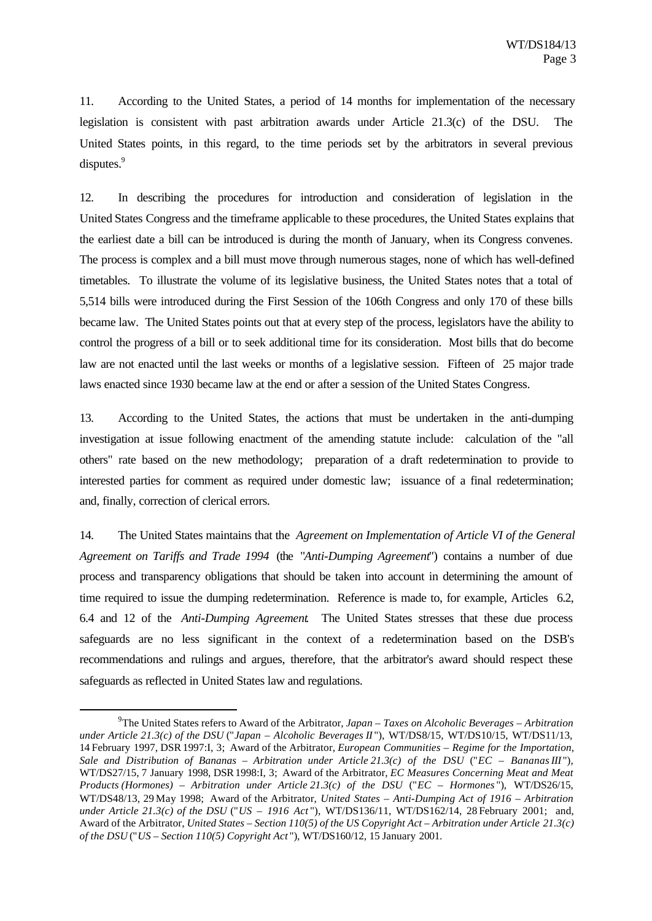11. According to the United States, a period of 14 months for implementation of the necessary legislation is consistent with past arbitration awards under Article 21.3(c) of the DSU. The United States points, in this regard, to the time periods set by the arbitrators in several previous disputes.<sup>9</sup>

12. In describing the procedures for introduction and consideration of legislation in the United States Congress and the timeframe applicable to these procedures, the United States explains that the earliest date a bill can be introduced is during the month of January, when its Congress convenes. The process is complex and a bill must move through numerous stages, none of which has well-defined timetables. To illustrate the volume of its legislative business, the United States notes that a total of 5,514 bills were introduced during the First Session of the 106th Congress and only 170 of these bills became law. The United States points out that at every step of the process, legislators have the ability to control the progress of a bill or to seek additional time for its consideration. Most bills that do become law are not enacted until the last weeks or months of a legislative session. Fifteen of 25 major trade laws enacted since 1930 became law at the end or after a session of the United States Congress.

13. According to the United States, the actions that must be undertaken in the anti-dumping investigation at issue following enactment of the amending statute include: calculation of the "all others" rate based on the new methodology; preparation of a draft redetermination to provide to interested parties for comment as required under domestic law; issuance of a final redetermination; and, finally, correction of clerical errors.

14. The United States maintains that the *Agreement on Implementation of Article VI of the General Agreement on Tariffs and Trade 1994* (the "*Anti-Dumping Agreement*") contains a number of due process and transparency obligations that should be taken into account in determining the amount of time required to issue the dumping redetermination. Reference is made to, for example, Articles 6.2, 6.4 and 12 of the *Anti-Dumping Agreement*. The United States stresses that these due process safeguards are no less significant in the context of a redetermination based on the DSB's recommendations and rulings and argues, therefore, that the arbitrator's award should respect these safeguards as reflected in United States law and regulations.

<sup>9</sup> The United States refers to Award of the Arbitrator, *Japan – Taxes on Alcoholic Beverages – Arbitration under Article 21.3(c) of the DSU* ("*Japan – Alcoholic Beverages II* "), WT/DS8/15, WT/DS10/15, WT/DS11/13, 14 February 1997, DSR 1997:I, 3; Award of the Arbitrator, *European Communities – Regime for the Importation, Sale and Distribution of Bananas – Arbitration under Article 21.3(c) of the DSU* ("*EC – Bananas III* "), WT/DS27/15, 7 January 1998, DSR 1998:I, 3; Award of the Arbitrator, *EC Measures Concerning Meat and Meat Products (Hormones) – Arbitration under Article 21.3(c) of the DSU* ("*EC – Hormones* "), WT/DS26/15, WT/DS48/13, 29 May 1998; Award of the Arbitrator, *United States – Anti-Dumping Act of 1916 – Arbitration under Article 21.3(c) of the DSU* ("*US – 1916 Act* "), WT/DS136/11, WT/DS162/14, 28 February 2001; and, Award of the Arbitrator, *United States – Section 110(5) of the US Copyright Act – Arbitration under Article 21.3(c) of the DSU* ("*US – Section 110(5) Copyright Act* "), WT/DS160/12, 15 January 2001.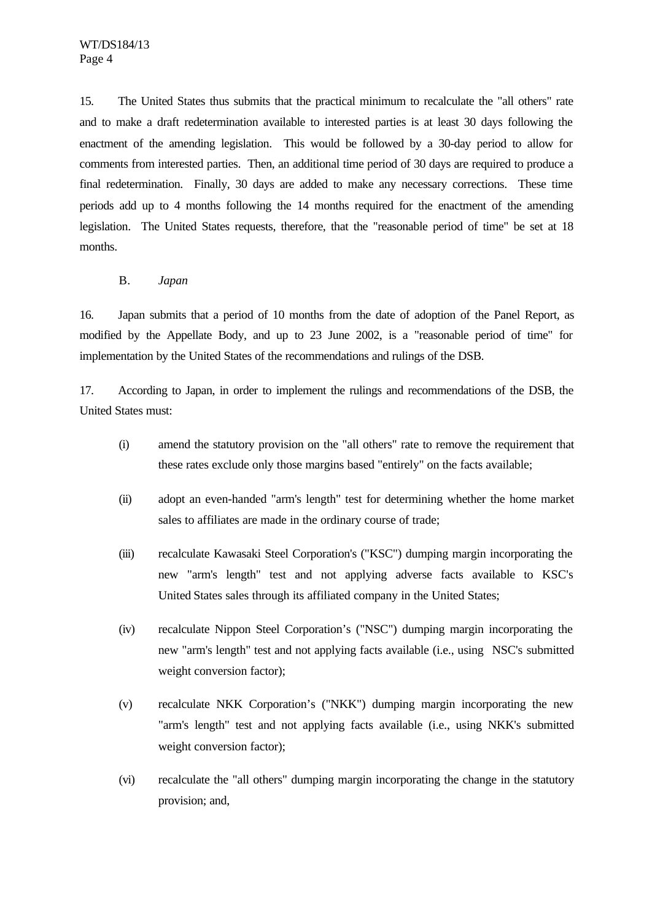15. The United States thus submits that the practical minimum to recalculate the "all others" rate and to make a draft redetermination available to interested parties is at least 30 days following the enactment of the amending legislation. This would be followed by a 30-day period to allow for comments from interested parties. Then, an additional time period of 30 days are required to produce a final redetermination. Finally, 30 days are added to make any necessary corrections. These time periods add up to 4 months following the 14 months required for the enactment of the amending legislation. The United States requests, therefore, that the "reasonable period of time" be set at 18 months.

B. *Japan*

16. Japan submits that a period of 10 months from the date of adoption of the Panel Report, as modified by the Appellate Body, and up to 23 June 2002, is a "reasonable period of time" for implementation by the United States of the recommendations and rulings of the DSB.

17. According to Japan, in order to implement the rulings and recommendations of the DSB, the United States must:

- (i) amend the statutory provision on the "all others" rate to remove the requirement that these rates exclude only those margins based "entirely" on the facts available;
- (ii) adopt an even-handed "arm's length" test for determining whether the home market sales to affiliates are made in the ordinary course of trade;
- (iii) recalculate Kawasaki Steel Corporation's ("KSC") dumping margin incorporating the new "arm's length" test and not applying adverse facts available to KSC's United States sales through its affiliated company in the United States;
- (iv) recalculate Nippon Steel Corporation's ("NSC") dumping margin incorporating the new "arm's length" test and not applying facts available (i.e., using NSC's submitted weight conversion factor);
- (v) recalculate NKK Corporation's ("NKK") dumping margin incorporating the new "arm's length" test and not applying facts available (i.e., using NKK's submitted weight conversion factor);
- (vi) recalculate the "all others" dumping margin incorporating the change in the statutory provision; and,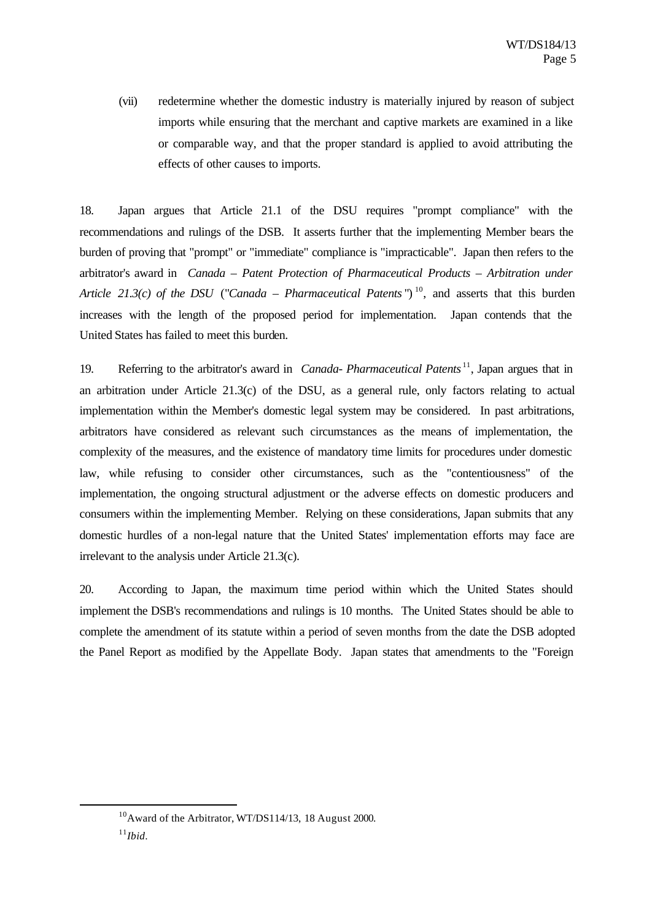(vii) redetermine whether the domestic industry is materially injured by reason of subject imports while ensuring that the merchant and captive markets are examined in a like or comparable way, and that the proper standard is applied to avoid attributing the effects of other causes to imports.

18. Japan argues that Article 21.1 of the DSU requires "prompt compliance" with the recommendations and rulings of the DSB. It asserts further that the implementing Member bears the burden of proving that "prompt" or "immediate" compliance is "impracticable". Japan then refers to the arbitrator's award in *Canada – Patent Protection of Pharmaceutical Products – Arbitration under Article 21.3(c) of the DSU* ("*Canada – Pharmaceutical Patents* ")<sup>10</sup>, and asserts that this burden increases with the length of the proposed period for implementation. Japan contends that the United States has failed to meet this burden.

19. Referring to the arbitrator's award in *Canada- Pharmaceutical Patents* <sup>11</sup> , Japan argues that in an arbitration under Article 21.3(c) of the DSU, as a general rule, only factors relating to actual implementation within the Member's domestic legal system may be considered. In past arbitrations, arbitrators have considered as relevant such circumstances as the means of implementation, the complexity of the measures, and the existence of mandatory time limits for procedures under domestic law, while refusing to consider other circumstances, such as the "contentiousness" of the implementation, the ongoing structural adjustment or the adverse effects on domestic producers and consumers within the implementing Member. Relying on these considerations, Japan submits that any domestic hurdles of a non-legal nature that the United States' implementation efforts may face are irrelevant to the analysis under Article 21.3(c).

20. According to Japan, the maximum time period within which the United States should implement the DSB's recommendations and rulings is 10 months. The United States should be able to complete the amendment of its statute within a period of seven months from the date the DSB adopted the Panel Report as modified by the Appellate Body. Japan states that amendments to the "Foreign

 $10$ Award of the Arbitrator, WT/DS114/13, 18 August 2000.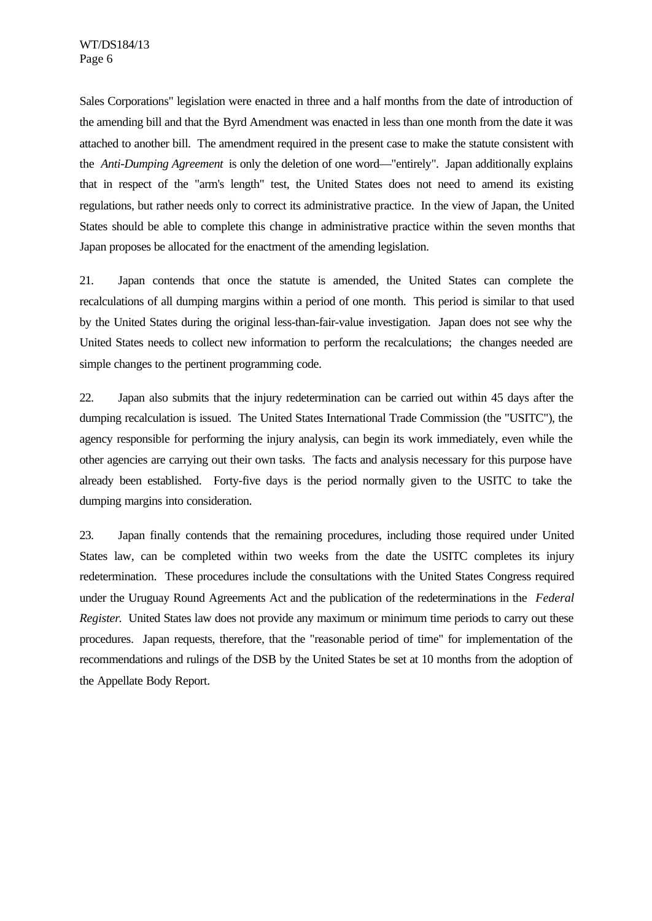Sales Corporations" legislation were enacted in three and a half months from the date of introduction of the amending bill and that the Byrd Amendment was enacted in less than one month from the date it was attached to another bill. The amendment required in the present case to make the statute consistent with the *Anti-Dumping Agreement* is only the deletion of one word—"entirely". Japan additionally explains that in respect of the "arm's length" test, the United States does not need to amend its existing regulations, but rather needs only to correct its administrative practice. In the view of Japan, the United States should be able to complete this change in administrative practice within the seven months that Japan proposes be allocated for the enactment of the amending legislation.

21. Japan contends that once the statute is amended, the United States can complete the recalculations of all dumping margins within a period of one month. This period is similar to that used by the United States during the original less-than-fair-value investigation. Japan does not see why the United States needs to collect new information to perform the recalculations; the changes needed are simple changes to the pertinent programming code.

22. Japan also submits that the injury redetermination can be carried out within 45 days after the dumping recalculation is issued. The United States International Trade Commission (the "USITC"), the agency responsible for performing the injury analysis, can begin its work immediately, even while the other agencies are carrying out their own tasks. The facts and analysis necessary for this purpose have already been established. Forty-five days is the period normally given to the USITC to take the dumping margins into consideration.

23. Japan finally contends that the remaining procedures, including those required under United States law, can be completed within two weeks from the date the USITC completes its injury redetermination. These procedures include the consultations with the United States Congress required under the Uruguay Round Agreements Act and the publication of the redeterminations in the *Federal Register*. United States law does not provide any maximum or minimum time periods to carry out these procedures. Japan requests, therefore, that the "reasonable period of time" for implementation of the recommendations and rulings of the DSB by the United States be set at 10 months from the adoption of the Appellate Body Report.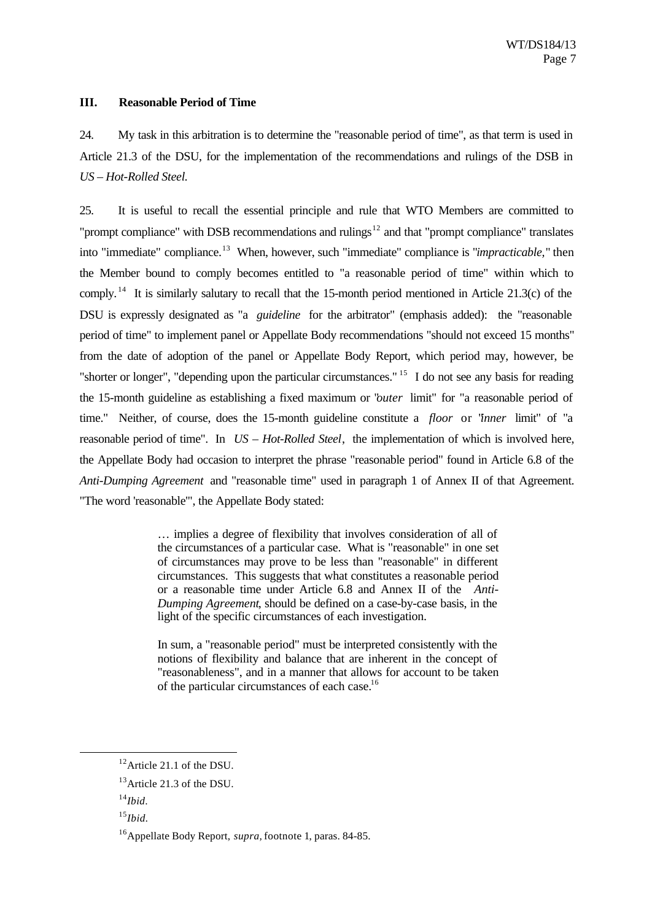#### **III. Reasonable Period of Time**

24. My task in this arbitration is to determine the "reasonable period of time", as that term is used in Article 21.3 of the DSU, for the implementation of the recommendations and rulings of the DSB in *US – Hot-Rolled Steel.*

25. It is useful to recall the essential principle and rule that WTO Members are committed to "prompt compliance" with DSB recommendations and rulings<sup>12</sup> and that "prompt compliance" translates into "immediate" compliance.<sup>13</sup> When, however, such "immediate" compliance is "*impracticable*," then the Member bound to comply becomes entitled to "a reasonable period of time" within which to comply.<sup>14</sup> It is similarly salutary to recall that the 15-month period mentioned in Article 21.3(c) of the DSU is expressly designated as "a *guideline* for the arbitrator" (emphasis added): the "reasonable period of time" to implement panel or Appellate Body recommendations "should not exceed 15 months" from the date of adoption of the panel or Appellate Body Report, which period may, however, be "shorter or longer", "depending upon the particular circumstances." <sup>15</sup> I do not see any basis for reading the 15-month guideline as establishing a fixed maximum or "*outer* limit" for "a reasonable period of time." Neither, of course, does the 15-month guideline constitute a *floor* or "*inner* limit" of "a reasonable period of time". In *US – Hot-Rolled Steel*, the implementation of which is involved here, the Appellate Body had occasion to interpret the phrase "reasonable period" found in Article 6.8 of the *Anti-Dumping Agreement* and "reasonable time" used in paragraph 1 of Annex II of that Agreement. "The word 'reasonable'", the Appellate Body stated:

> … implies a degree of flexibility that involves consideration of all of the circumstances of a particular case. What is "reasonable" in one set of circumstances may prove to be less than "reasonable" in different circumstances. This suggests that what constitutes a reasonable period or a reasonable time under Article 6.8 and Annex II of the *Anti-Dumping Agreement*, should be defined on a case-by-case basis, in the light of the specific circumstances of each investigation.

> In sum, a "reasonable period" must be interpreted consistently with the notions of flexibility and balance that are inherent in the concept of "reasonableness", and in a manner that allows for account to be taken of the particular circumstances of each case.<sup>16</sup>

<sup>&</sup>lt;sup>12</sup>Article 21.1 of the DSU.

<sup>&</sup>lt;sup>13</sup> Article 21.3 of the DSU.

<sup>14</sup>*Ibid*.

<sup>15</sup>*Ibid.*

<sup>16</sup>Appellate Body Report, *supra,* footnote 1, paras. 84-85.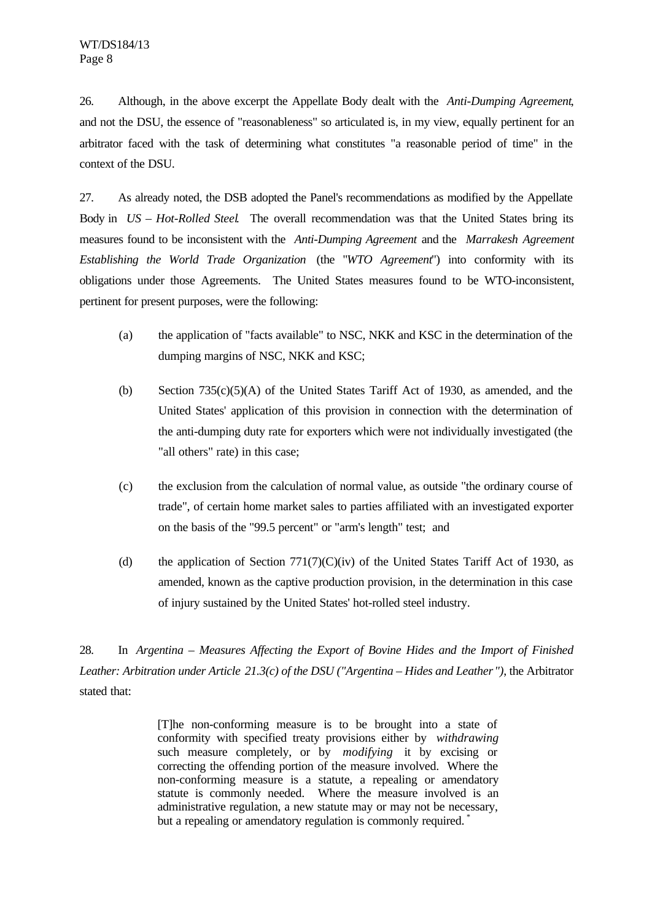26. Although, in the above excerpt the Appellate Body dealt with the *Anti-Dumping Agreement*, and not the DSU, the essence of "reasonableness" so articulated is, in my view, equally pertinent for an arbitrator faced with the task of determining what constitutes "a reasonable period of time" in the context of the DSU.

27. As already noted, the DSB adopted the Panel's recommendations as modified by the Appellate Body in *US – Hot-Rolled Steel*. The overall recommendation was that the United States bring its measures found to be inconsistent with the *Anti-Dumping Agreement* and the *Marrakesh Agreement Establishing the World Trade Organization* (the "*WTO Agreement*") into conformity with its obligations under those Agreements. The United States measures found to be WTO-inconsistent, pertinent for present purposes, were the following:

- (a) the application of "facts available" to NSC, NKK and KSC in the determination of the dumping margins of NSC, NKK and KSC;
- (b) Section  $735(c)(5)(A)$  of the United States Tariff Act of 1930, as amended, and the United States' application of this provision in connection with the determination of the anti-dumping duty rate for exporters which were not individually investigated (the "all others" rate) in this case;
- (c) the exclusion from the calculation of normal value, as outside "the ordinary course of trade", of certain home market sales to parties affiliated with an investigated exporter on the basis of the "99.5 percent" or "arm's length" test; and
- (d) the application of Section 771(7)( $C$ )(iv) of the United States Tariff Act of 1930, as amended, known as the captive production provision, in the determination in this case of injury sustained by the United States' hot-rolled steel industry.

28. In *Argentina – Measures Affecting the Export of Bovine Hides and the Import of Finished Leather: Arbitration under Article 21.3(c) of the DSU ("Argentina – Hides and Leather ")*, the Arbitrator stated that:

> [T]he non-conforming measure is to be brought into a state of conformity with specified treaty provisions either by *withdrawing* such measure completely, or by *modifying* it by excising or correcting the offending portion of the measure involved. Where the non-conforming measure is a statute, a repealing or amendatory statute is commonly needed. Where the measure involved is an administrative regulation, a new statute may or may not be necessary, but a repealing or amendatory regulation is commonly required.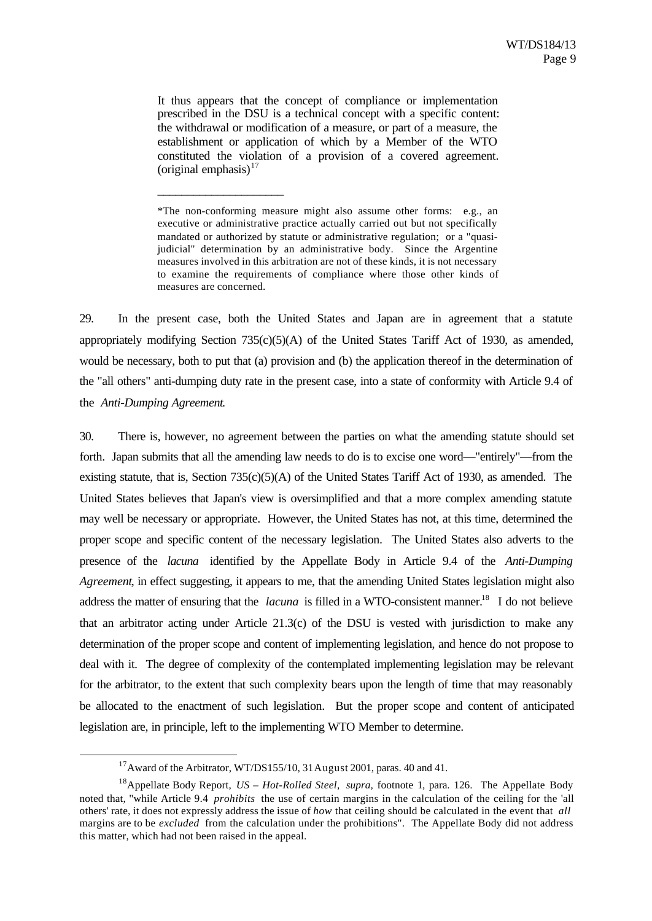It thus appears that the concept of compliance or implementation prescribed in the DSU is a technical concept with a specific content: the withdrawal or modification of a measure, or part of a measure, the establishment or application of which by a Member of the WTO constituted the violation of a provision of a covered agreement. (original emphasis) $17$ 

\_\_\_\_\_\_\_\_\_\_\_\_\_\_\_\_\_\_\_\_\_

\*The non-conforming measure might also assume other forms: e.g., an executive or administrative practice actually carried out but not specifically mandated or authorized by statute or administrative regulation; or a "quasijudicial" determination by an administrative body. Since the Argentine measures involved in this arbitration are not of these kinds, it is not necessary to examine the requirements of compliance where those other kinds of measures are concerned.

29. In the present case, both the United States and Japan are in agreement that a statute appropriately modifying Section 735(c)(5)(A) of the United States Tariff Act of 1930, as amended, would be necessary, both to put that (a) provision and (b) the application thereof in the determination of the "all others" anti-dumping duty rate in the present case, into a state of conformity with Article 9.4 of the *Anti-Dumping Agreement*.

30. There is, however, no agreement between the parties on what the amending statute should set forth. Japan submits that all the amending law needs to do is to excise one word—"entirely"—from the existing statute, that is, Section  $735(c)(5)(A)$  of the United States Tariff Act of 1930, as amended. The United States believes that Japan's view is oversimplified and that a more complex amending statute may well be necessary or appropriate. However, the United States has not, at this time, determined the proper scope and specific content of the necessary legislation. The United States also adverts to the presence of the *lacuna* identified by the Appellate Body in Article 9.4 of the *Anti-Dumping Agreement*, in effect suggesting, it appears to me, that the amending United States legislation might also address the matter of ensuring that the *lacuna* is filled in a WTO-consistent manner.<sup>18</sup> I do not believe that an arbitrator acting under Article 21.3(c) of the DSU is vested with jurisdiction to make any determination of the proper scope and content of implementing legislation, and hence do not propose to deal with it. The degree of complexity of the contemplated implementing legislation may be relevant for the arbitrator, to the extent that such complexity bears upon the length of time that may reasonably be allocated to the enactment of such legislation. But the proper scope and content of anticipated legislation are, in principle, left to the implementing WTO Member to determine.

<sup>&</sup>lt;sup>17</sup> Award of the Arbitrator, WT/DS155/10, 31 August 2001, paras. 40 and 41.

<sup>18</sup>Appellate Body Report, *US – Hot-Rolled Steel*, *supra,* footnote 1*,* para. 126. The Appellate Body noted that, "while Article 9.4 *prohibits* the use of certain margins in the calculation of the ceiling for the 'all others' rate, it does not expressly address the issue of *how* that ceiling should be calculated in the event that *all* margins are to be *excluded* from the calculation under the prohibitions". The Appellate Body did not address this matter, which had not been raised in the appeal.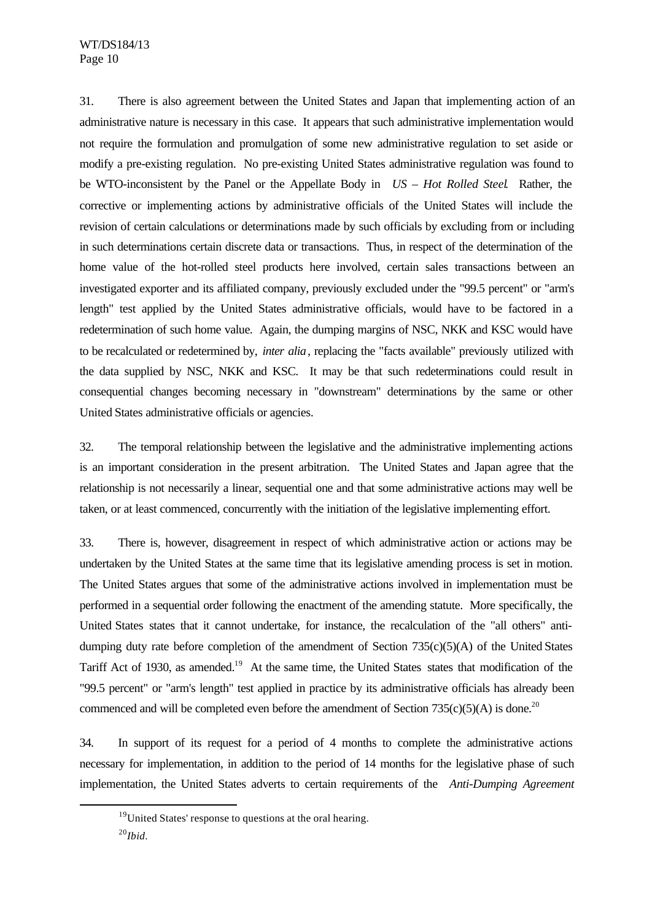31. There is also agreement between the United States and Japan that implementing action of an administrative nature is necessary in this case. It appears that such administrative implementation would not require the formulation and promulgation of some new administrative regulation to set aside or modify a pre-existing regulation. No pre-existing United States administrative regulation was found to be WTO-inconsistent by the Panel or the Appellate Body in *US – Hot Rolled Steel*. Rather, the corrective or implementing actions by administrative officials of the United States will include the revision of certain calculations or determinations made by such officials by excluding from or including in such determinations certain discrete data or transactions. Thus, in respect of the determination of the home value of the hot-rolled steel products here involved, certain sales transactions between an investigated exporter and its affiliated company, previously excluded under the "99.5 percent" or "arm's length" test applied by the United States administrative officials, would have to be factored in a redetermination of such home value. Again, the dumping margins of NSC, NKK and KSC would have to be recalculated or redetermined by, *inter alia*, replacing the "facts available" previously utilized with the data supplied by NSC, NKK and KSC. It may be that such redeterminations could result in consequential changes becoming necessary in "downstream" determinations by the same or other United States administrative officials or agencies.

32. The temporal relationship between the legislative and the administrative implementing actions is an important consideration in the present arbitration. The United States and Japan agree that the relationship is not necessarily a linear, sequential one and that some administrative actions may well be taken, or at least commenced, concurrently with the initiation of the legislative implementing effort.

33. There is, however, disagreement in respect of which administrative action or actions may be undertaken by the United States at the same time that its legislative amending process is set in motion. The United States argues that some of the administrative actions involved in implementation must be performed in a sequential order following the enactment of the amending statute. More specifically, the United States states that it cannot undertake, for instance, the recalculation of the "all others" antidumping duty rate before completion of the amendment of Section 735(c)(5)(A) of the United States Tariff Act of 1930, as amended.<sup>19</sup> At the same time, the United States states that modification of the "99.5 percent" or "arm's length" test applied in practice by its administrative officials has already been commenced and will be completed even before the amendment of Section  $735(c)(5)(A)$  is done.<sup>20</sup>

34. In support of its request for a period of 4 months to complete the administrative actions necessary for implementation, in addition to the period of 14 months for the legislative phase of such implementation, the United States adverts to certain requirements of the *Anti-Dumping Agreement*

 $19$ United States' response to questions at the oral hearing. <sup>20</sup>*Ibid*.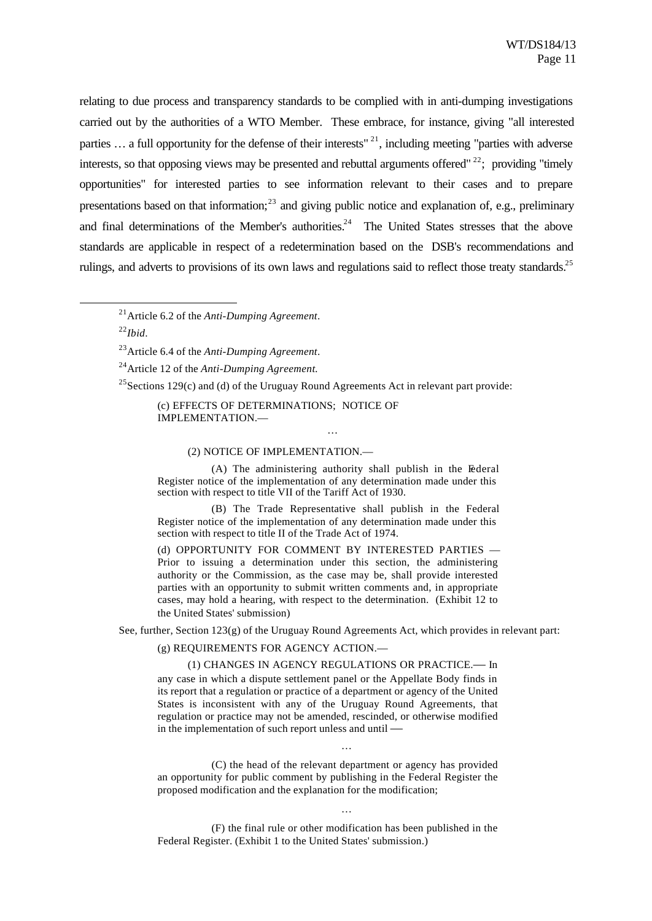relating to due process and transparency standards to be complied with in anti-dumping investigations carried out by the authorities of a WTO Member. These embrace, for instance, giving "all interested parties  $\ldots$  a full opportunity for the defense of their interests"<sup>21</sup>, including meeting "parties with adverse interests, so that opposing views may be presented and rebuttal arguments offered" $^{22}$ ; providing "timely opportunities" for interested parties to see information relevant to their cases and to prepare presentations based on that information;<sup>23</sup> and giving public notice and explanation of, e.g., preliminary and final determinations of the Member's authorities.<sup>24</sup> The United States stresses that the above standards are applicable in respect of a redetermination based on the DSB's recommendations and rulings, and adverts to provisions of its own laws and regulations said to reflect those treaty standards.<sup>25</sup>

<sup>21</sup>Article 6.2 of the *Anti-Dumping Agreement*.

 $^{22}$ *Ibid.* 

l

<sup>23</sup>Article 6.4 of the *Anti-Dumping Agreement*.

<sup>24</sup>Article 12 of the *Anti-Dumping Agreement.*

 $25$ Sections 129(c) and (d) of the Uruguay Round Agreements Act in relevant part provide:

(c) EFFECTS OF DETERMINATIONS; NOTICE OF IMPLEMENTATION.—

(2) NOTICE OF IMPLEMENTATION.—

(A) The administering authority shall publish in the Federal Register notice of the implementation of any determination made under this section with respect to title VII of the Tariff Act of 1930.

…

(B) The Trade Representative shall publish in the Federal Register notice of the implementation of any determination made under this section with respect to title II of the Trade Act of 1974.

(d) OPPORTUNITY FOR COMMENT BY INTERESTED PARTIES -Prior to issuing a determination under this section, the administering authority or the Commission, as the case may be, shall provide interested parties with an opportunity to submit written comments and, in appropriate cases, may hold a hearing, with respect to the determination. (Exhibit 12 to the United States' submission)

See, further, Section 123(g) of the Uruguay Round Agreements Act, which provides in relevant part:

(g) REQUIREMENTS FOR AGENCY ACTION.—

(1) CHANGES IN AGENCY REGULATIONS OR PRACTICE.— In any case in which a dispute settlement panel or the Appellate Body finds in its report that a regulation or practice of a department or agency of the United States is inconsistent with any of the Uruguay Round Agreements, that regulation or practice may not be amended, rescinded, or otherwise modified in the implementation of such report unless and until —

(C) the head of the relevant department or agency has provided an opportunity for public comment by publishing in the Federal Register the proposed modification and the explanation for the modification;

…

…

(F) the final rule or other modification has been published in the Federal Register. (Exhibit 1 to the United States' submission.)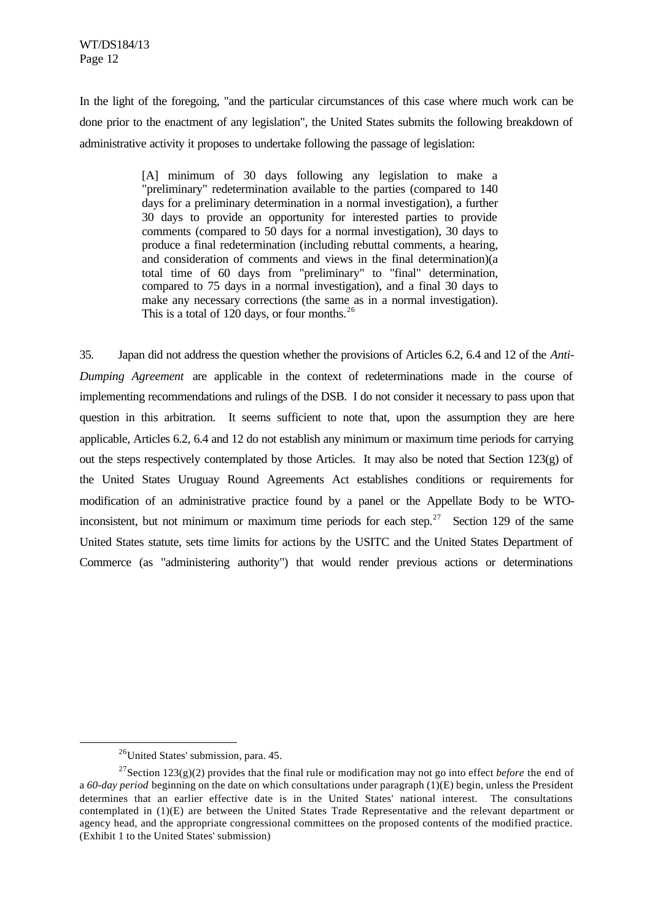In the light of the foregoing, "and the particular circumstances of this case where much work can be done prior to the enactment of any legislation", the United States submits the following breakdown of administrative activity it proposes to undertake following the passage of legislation:

> [A] minimum of 30 days following any legislation to make a "preliminary" redetermination available to the parties (compared to 140 days for a preliminary determination in a normal investigation), a further 30 days to provide an opportunity for interested parties to provide comments (compared to 50 days for a normal investigation), 30 days to produce a final redetermination (including rebuttal comments, a hearing, and consideration of comments and views in the final determination)(a total time of 60 days from "preliminary" to "final" determination, compared to 75 days in a normal investigation), and a final 30 days to make any necessary corrections (the same as in a normal investigation). This is a total of 120 days, or four months. $^{26}$

35. Japan did not address the question whether the provisions of Articles 6.2, 6.4 and 12 of the *Anti-Dumping Agreement* are applicable in the context of redeterminations made in the course of implementing recommendations and rulings of the DSB. I do not consider it necessary to pass upon that question in this arbitration. It seems sufficient to note that, upon the assumption they are here applicable, Articles 6.2, 6.4 and 12 do not establish any minimum or maximum time periods for carrying out the steps respectively contemplated by those Articles. It may also be noted that Section  $123(g)$  of the United States Uruguay Round Agreements Act establishes conditions or requirements for modification of an administrative practice found by a panel or the Appellate Body to be WTOinconsistent, but not minimum or maximum time periods for each step.<sup>27</sup> Section 129 of the same United States statute, sets time limits for actions by the USITC and the United States Department of Commerce (as "administering authority") that would render previous actions or determinations

<sup>&</sup>lt;sup>26</sup>United States' submission, para. 45.

<sup>&</sup>lt;sup>27</sup>Section 123(g)(2) provides that the final rule or modification may not go into effect *before* the end of a *60-day period* beginning on the date on which consultations under paragraph (1)(E) begin, unless the President determines that an earlier effective date is in the United States' national interest. The consultations contemplated in (1)(E) are between the United States Trade Representative and the relevant department or agency head, and the appropriate congressional committees on the proposed contents of the modified practice. (Exhibit 1 to the United States' submission)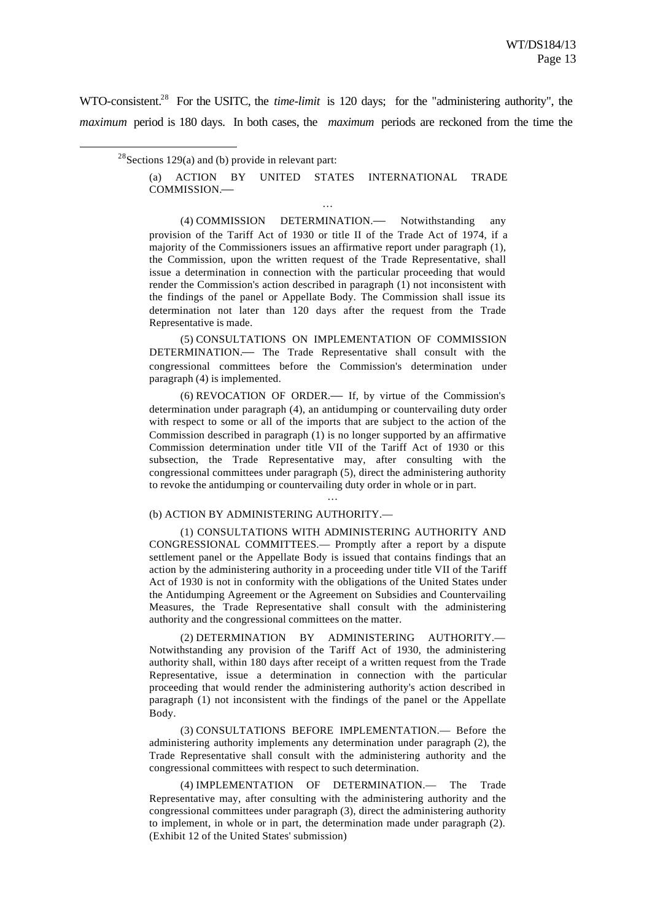WTO-consistent.<sup>28</sup> For the USITC, the *time-limit* is 120 days; for the "administering authority", the *maximum* period is 180 days. In both cases, the *maximum* periods are reckoned from the time the

 $28$ Sections 129(a) and (b) provide in relevant part:

l

(a) ACTION BY UNITED STATES INTERNATIONAL TRADE COMMISSION.— …

(4) COMMISSION DETERMINATION.— Notwithstanding any provision of the Tariff Act of 1930 or title II of the Trade Act of 1974, if a majority of the Commissioners issues an affirmative report under paragraph (1), the Commission, upon the written request of the Trade Representative, shall issue a determination in connection with the particular proceeding that would render the Commission's action described in paragraph  $(1)$  not inconsistent with the findings of the panel or Appellate Body. The Commission shall issue its determination not later than 120 days after the request from the Trade Representative is made.

(5) CONSULTATIONS ON IMPLEMENTATION OF COMMISSION DETERMINATION.— The Trade Representative shall consult with the congressional committees before the Commission's determination under paragraph (4) is implemented.

(6) REVOCATION OF ORDER.— If, by virtue of the Commission's determination under paragraph (4), an antidumping or countervailing duty order with respect to some or all of the imports that are subject to the action of the Commission described in paragraph (1) is no longer supported by an affirmative Commission determination under title VII of the Tariff Act of 1930 or this subsection, the Trade Representative may, after consulting with the congressional committees under paragraph (5), direct the administering authority to revoke the antidumping or countervailing duty order in whole or in part.

…

#### (b) ACTION BY ADMINISTERING AUTHORITY.—

(1) CONSULTATIONS WITH ADMINISTERING AUTHORITY AND CONGRESSIONAL COMMITTEES.— Promptly after a report by a dispute settlement panel or the Appellate Body is issued that contains findings that an action by the administering authority in a proceeding under title VII of the Tariff Act of 1930 is not in conformity with the obligations of the United States under the Antidumping Agreement or the Agreement on Subsidies and Countervailing Measures, the Trade Representative shall consult with the administering authority and the congressional committees on the matter.

(2) DETERMINATION BY ADMINISTERING AUTHORITY.— Notwithstanding any provision of the Tariff Act of 1930, the administering authority shall, within 180 days after receipt of a written request from the Trade Representative, issue a determination in connection with the particular proceeding that would render the administering authority's action described in paragraph (1) not inconsistent with the findings of the panel or the Appellate Body.

(3) CONSULTATIONS BEFORE IMPLEMENTATION.— Before the administering authority implements any determination under paragraph (2), the Trade Representative shall consult with the administering authority and the congressional committees with respect to such determination.

(4) IMPLEMENTATION OF DETERMINATION.— The Trade Representative may, after consulting with the administering authority and the congressional committees under paragraph (3), direct the administering authority to implement, in whole or in part, the determination made under paragraph (2). (Exhibit 12 of the United States' submission)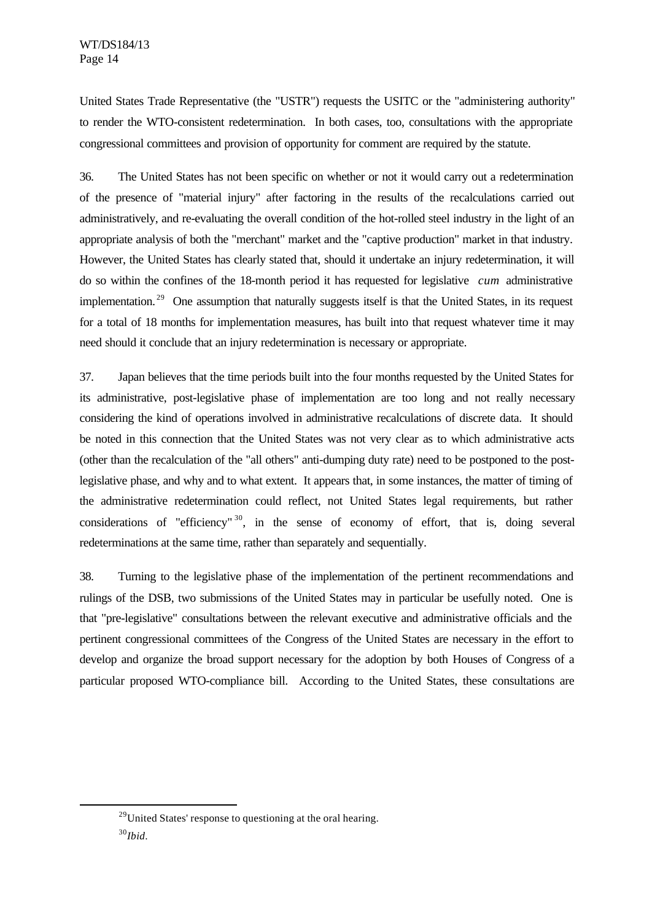United States Trade Representative (the "USTR") requests the USITC or the "administering authority" to render the WTO-consistent redetermination. In both cases, too, consultations with the appropriate congressional committees and provision of opportunity for comment are required by the statute.

36. The United States has not been specific on whether or not it would carry out a redetermination of the presence of "material injury" after factoring in the results of the recalculations carried out administratively, and re-evaluating the overall condition of the hot-rolled steel industry in the light of an appropriate analysis of both the "merchant" market and the "captive production" market in that industry. However, the United States has clearly stated that, should it undertake an injury redetermination, it will do so within the confines of the 18-month period it has requested for legislative *cum* administrative implementation.<sup>29</sup> One assumption that naturally suggests itself is that the United States, in its request for a total of 18 months for implementation measures, has built into that request whatever time it may need should it conclude that an injury redetermination is necessary or appropriate.

37. Japan believes that the time periods built into the four months requested by the United States for its administrative, post-legislative phase of implementation are too long and not really necessary considering the kind of operations involved in administrative recalculations of discrete data. It should be noted in this connection that the United States was not very clear as to which administrative acts (other than the recalculation of the "all others" anti-dumping duty rate) need to be postponed to the postlegislative phase, and why and to what extent. It appears that, in some instances, the matter of timing of the administrative redetermination could reflect, not United States legal requirements, but rather considerations of "efficiency"<sup>30</sup>, in the sense of economy of effort, that is, doing several redeterminations at the same time, rather than separately and sequentially.

38. Turning to the legislative phase of the implementation of the pertinent recommendations and rulings of the DSB, two submissions of the United States may in particular be usefully noted. One is that "pre-legislative" consultations between the relevant executive and administrative officials and the pertinent congressional committees of the Congress of the United States are necessary in the effort to develop and organize the broad support necessary for the adoption by both Houses of Congress of a particular proposed WTO-compliance bill. According to the United States, these consultations are

 $29$ United States' response to questioning at the oral hearing. <sup>30</sup>*Ibid*.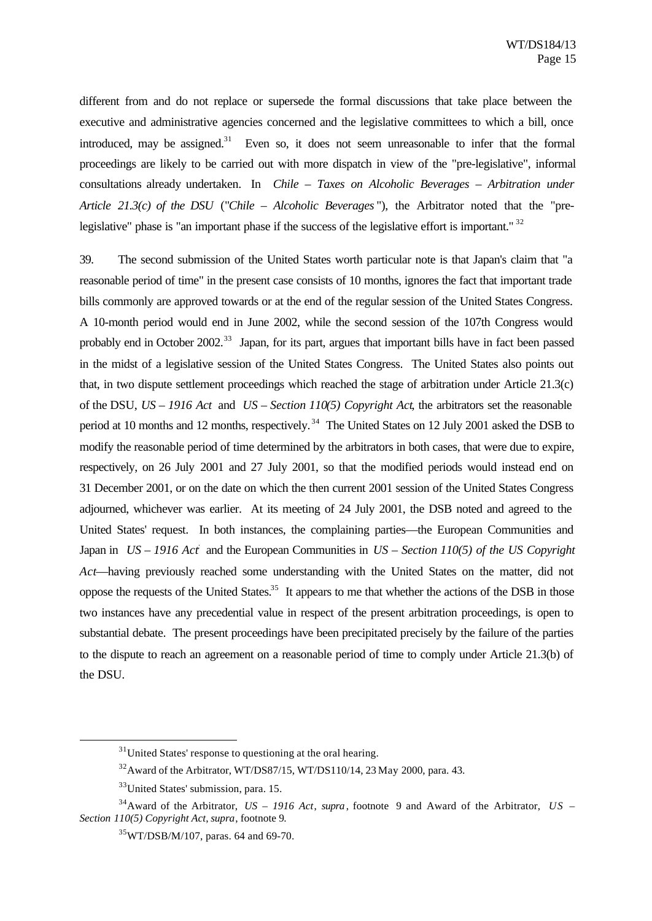different from and do not replace or supersede the formal discussions that take place between the executive and administrative agencies concerned and the legislative committees to which a bill, once introduced, may be assigned. $31$  Even so, it does not seem unreasonable to infer that the formal proceedings are likely to be carried out with more dispatch in view of the "pre-legislative", informal consultations already undertaken. In *Chile – Taxes on Alcoholic Beverages – Arbitration under Article 21.3(c) of the DSU* ("*Chile – Alcoholic Beverages* "), the Arbitrator noted that the "prelegislative" phase is "an important phase if the success of the legislative effort is important." <sup>32</sup>

39. The second submission of the United States worth particular note is that Japan's claim that "a reasonable period of time" in the present case consists of 10 months, ignores the fact that important trade bills commonly are approved towards or at the end of the regular session of the United States Congress. A 10-month period would end in June 2002, while the second session of the 107th Congress would probably end in October 2002.<sup>33</sup> Japan, for its part, argues that important bills have in fact been passed in the midst of a legislative session of the United States Congress. The United States also points out that, in two dispute settlement proceedings which reached the stage of arbitration under Article 21.3(c) of the DSU, *US – 1916 Act* and *US – Section 110(5) Copyright Act*, the arbitrators set the reasonable period at 10 months and 12 months, respectively.<sup>34</sup> The United States on 12 July 2001 asked the DSB to modify the reasonable period of time determined by the arbitrators in both cases, that were due to expire, respectively, on 26 July 2001 and 27 July 2001, so that the modified periods would instead end on 31 December 2001, or on the date on which the then current 2001 session of the United States Congress adjourned, whichever was earlier. At its meeting of 24 July 2001, the DSB noted and agreed to the United States' request. In both instances, the complaining parties—the European Communities and Japan in *US – 1916 Act;* and the European Communities in *US – Section 110(5) of the US Copyright Act*—having previously reached some understanding with the United States on the matter, did not oppose the requests of the United States.<sup>35</sup> It appears to me that whether the actions of the DSB in those two instances have any precedential value in respect of the present arbitration proceedings, is open to substantial debate. The present proceedings have been precipitated precisely by the failure of the parties to the dispute to reach an agreement on a reasonable period of time to comply under Article 21.3(b) of the DSU.

 $31$ United States' response to questioning at the oral hearing.

 $32$ Award of the Arbitrator, WT/DS87/15, WT/DS110/14, 23 May 2000, para. 43.

<sup>&</sup>lt;sup>33</sup>United States' submission, para. 15.

<sup>34</sup>Award of the Arbitrator, *US – 1916 Act*, *supra* , footnote 9 and Award of the Arbitrator, *US – Section 110(5) Copyright Act*, *supra*, footnote 9.

 $35$ WT/DSB/M/107, paras. 64 and 69-70.